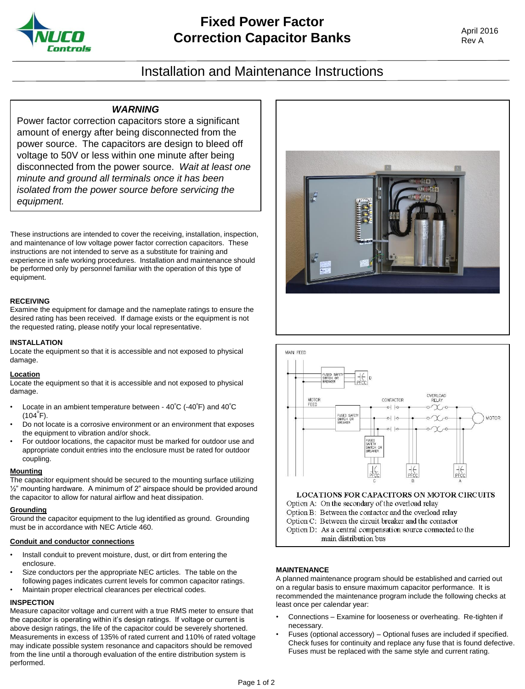

# Installation and Maintenance Instructions

## *WARNING*

Power factor correction capacitors store a significant amount of energy after being disconnected from the power source. The capacitors are design to bleed off voltage to 50V or less within one minute after being disconnected from the power source. *Wait at least one minute and ground all terminals once it has been isolated from the power source before servicing the equipment.*

These instructions are intended to cover the receiving, installation, inspection, and maintenance of low voltage power factor correction capacitors. These instructions are not intended to serve as a substitute for training and experience in safe working procedures. Installation and maintenance should be performed only by personnel familiar with the operation of this type of equipment.

#### **RECEIVING**

Examine the equipment for damage and the nameplate ratings to ensure the desired rating has been received. If damage exists or the equipment is not the requested rating, please notify your local representative.

### **INSTALLATION**

Locate the equipment so that it is accessible and not exposed to physical damage.

### **Location**

Locate the equipment so that it is accessible and not exposed to physical damage.

- Locate in an ambient temperature between  $40^{\circ}$ C (-40 $^{\circ}$ F) and  $40^{\circ}$ C  $(104^{\circ}F)$ .
- Do not locate is a corrosive environment or an environment that exposes the equipment to vibration and/or shock.
- For outdoor locations, the capacitor must be marked for outdoor use and appropriate conduit entries into the enclosure must be rated for outdoor coupling.

### **Mounting**

The capacitor equipment should be secured to the mounting surface utilizing ½" mounting hardware. A minimum of 2" airspace should be provided around the capacitor to allow for natural airflow and heat dissipation.

### **Grounding**

Ground the capacitor equipment to the lug identified as ground. Grounding must be in accordance with NEC Article 460.

## **Conduit and conductor connections**

- Install conduit to prevent moisture, dust, or dirt from entering the enclosure.
- Size conductors per the appropriate NEC articles. The table on the following pages indicates current levels for common capacitor ratings. • Maintain proper electrical clearances per electrical codes.

## **INSPECTION**

Measure capacitor voltage and current with a true RMS meter to ensure that the capacitor is operating within it's design ratings. If voltage or current is above design ratings, the life of the capacitor could be severely shortened. Measurements in excess of 135% of rated current and 110% of rated voltage may indicate possible system resonance and capacitors should be removed from the line until a thorough evaluation of the entire distribution system is performed.





### **MAINTENANCE**

A planned maintenance program should be established and carried out on a regular basis to ensure maximum capacitor performance. It is recommended the maintenance program include the following checks at least once per calendar year:

- Connections Examine for looseness or overheating. Re-tighten if necessary.
- Fuses (optional accessory) Optional fuses are included if specified. Check fuses for continuity and replace any fuse that is found defective. Fuses must be replaced with the same style and current rating.